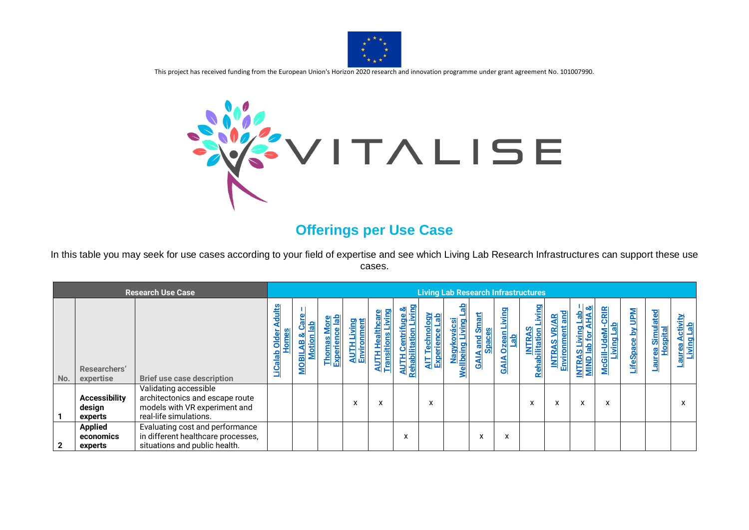

This project has received funding from the European Union's Horizon 2020 research and innovation programme under grant agreement No. 101007990.



## **Offerings per Use Case**

In this table you may seek for use cases according to your field of expertise and see which Living Lab Research Infrastructures can support these use cases.

|                | <b>Research Use Case</b>                  |                                                                                                                     |                                          |                                |                                                                                      |                         |   |                                                   |                        |                                       | <b>Living Lab Research Infrastructures</b>              |                                                             |                                          |                                                |                          |                                |                                 |                                               |                                   |
|----------------|-------------------------------------------|---------------------------------------------------------------------------------------------------------------------|------------------------------------------|--------------------------------|--------------------------------------------------------------------------------------|-------------------------|---|---------------------------------------------------|------------------------|---------------------------------------|---------------------------------------------------------|-------------------------------------------------------------|------------------------------------------|------------------------------------------------|--------------------------|--------------------------------|---------------------------------|-----------------------------------------------|-----------------------------------|
| No.            | Researchers'<br>expertise                 | <b>Brief use case description</b>                                                                                   | <b>Adults</b><br>LiCalab Older<br>m<br>P | otio<br>m<br><b>MOBIL</b><br>≂ | $\frac{ab}{b}$<br>$rac{1}{2}$<br>$\bullet$<br>enc<br><b>Thomas</b><br><b>Experie</b> | <b>Environment</b><br>ą | ⋖ | <u>ge &amp;</u><br><b>AUTH Cer</b><br>Rehabilitat | 통<br>$\mathbf{g}$<br>빏 | έ<br>i puiegliem<br><u>Mellbein</u> g | <b>Smart</b><br><b>Spaces</b><br>and<br><b>AIA</b><br>ග | iving<br>$\frac{1}{\sqrt{\frac{1}{2}}}$<br>Œ<br><u>SAIV</u> | puivi<br><b>INTRAS</b><br>Rehabilitation | and<br><b>Environment</b><br>ఆ<br><b>INTRA</b> | <b>INTRAS</b><br>MIND Ia | CRIR<br>Living<br>Š<br>McGill- | <b>Mdn</b><br>≿<br>ပ<br>LifeSpa | Simulated<br><b>Hospital</b><br><b>Laurea</b> | ctivity<br>Living Lab<br><u>ă</u> |
|                | <b>Accessibility</b><br>design<br>experts | Validating accessible<br>architectonics and escape route<br>models with VR experiment and<br>real-life simulations. |                                          |                                |                                                                                      | X                       | X |                                                   | X                      |                                       |                                                         |                                                             | X                                        | X                                              | x                        | X                              |                                 |                                               | x                                 |
| $\overline{2}$ | <b>Applied</b><br>economics<br>experts    | Evaluating cost and performance<br>in different healthcare processes,<br>situations and public health.              |                                          |                                |                                                                                      |                         |   | X                                                 |                        |                                       | x                                                       | x                                                           |                                          |                                                |                          |                                |                                 |                                               |                                   |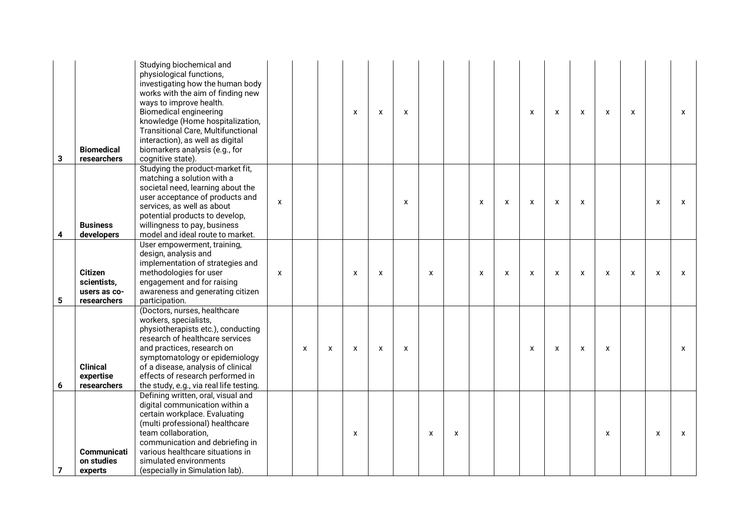| $\mathbf{3}$ | <b>Biomedical</b><br>researchers                             | Studying biochemical and<br>physiological functions,<br>investigating how the human body<br>works with the aim of finding new<br>ways to improve health.<br><b>Biomedical engineering</b><br>knowledge (Home hospitalization,<br><b>Transitional Care, Multifunctional</b><br>interaction), as well as digital<br>biomarkers analysis (e.g., for<br>cognitive state). |                    |   |   | X            | X            | X                  |   |   |                           |                           | X | X                         | X | $\boldsymbol{\mathsf{x}}$ | X                         |                    | X |
|--------------|--------------------------------------------------------------|-----------------------------------------------------------------------------------------------------------------------------------------------------------------------------------------------------------------------------------------------------------------------------------------------------------------------------------------------------------------------|--------------------|---|---|--------------|--------------|--------------------|---|---|---------------------------|---------------------------|---|---------------------------|---|---------------------------|---------------------------|--------------------|---|
| 4            | <b>Business</b><br>developers                                | Studying the product-market fit,<br>matching a solution with a<br>societal need, learning about the<br>user acceptance of products and<br>services, as well as about<br>potential products to develop,<br>willingness to pay, business<br>model and ideal route to market.                                                                                            | $\pmb{\mathsf{X}}$ |   |   |              |              | $\pmb{\mathsf{X}}$ |   |   | X                         | X                         | X | X                         | X |                           |                           | X                  | X |
| 5            | <b>Citizen</b><br>scientists,<br>users as co-<br>researchers | User empowerment, training,<br>design, analysis and<br>implementation of strategies and<br>methodologies for user<br>engagement and for raising<br>awareness and generating citizen<br>participation.                                                                                                                                                                 | $\mathsf{x}$       |   |   | $\mathsf{x}$ | $\mathsf{x}$ |                    | X |   | $\boldsymbol{\mathsf{x}}$ | $\boldsymbol{\mathsf{x}}$ | X | $\boldsymbol{\mathsf{x}}$ | X | $\boldsymbol{\mathsf{x}}$ | $\boldsymbol{\mathsf{x}}$ | $\pmb{\mathsf{x}}$ | X |
| 6            | <b>Clinical</b><br>expertise<br>researchers                  | (Doctors, nurses, healthcare<br>workers, specialists,<br>physiotherapists etc.), conducting<br>research of healthcare services<br>and practices, research on<br>symptomatology or epidemiology<br>of a disease, analysis of clinical<br>effects of research performed in<br>the study, e.g., via real life testing.                                                   |                    | X | X | X            | X            | X                  |   |   |                           |                           | X | X                         | X | X                         |                           |                    | x |
| 7            | <b>Communicati</b><br>on studies<br>experts                  | Defining written, oral, visual and<br>digital communication within a<br>certain workplace. Evaluating<br>(multi professional) healthcare<br>team collaboration,<br>communication and debriefing in<br>various healthcare situations in<br>simulated environments<br>(especially in Simulation lab).                                                                   |                    |   |   | $\mathsf{x}$ |              |                    | X | X |                           |                           |   |                           |   | $\boldsymbol{\mathsf{x}}$ |                           | X                  | X |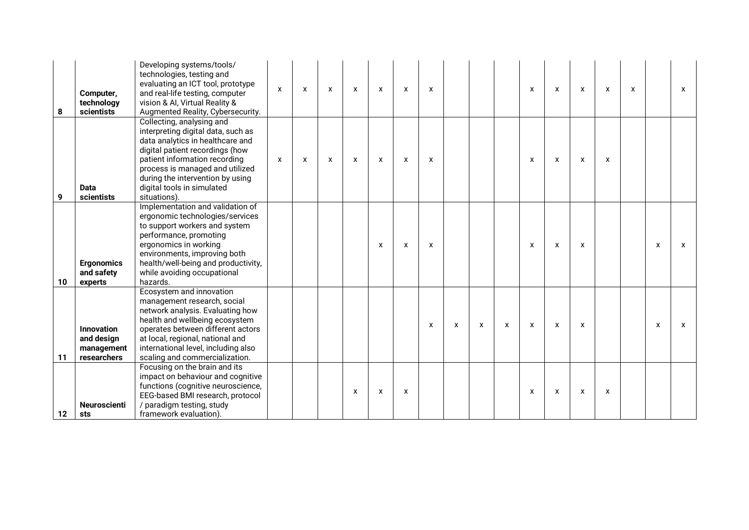| 8  | Computer,<br>technology<br>scientists                        | Developing systems/tools/<br>technologies, testing and<br>evaluating an ICT tool, prototype<br>and real-life testing, computer<br>vision & Al, Virtual Reality &<br>Augmented Reality, Cybersecurity.                                                                                        | X | $\boldsymbol{\mathsf{X}}$ | X | $\mathsf{x}$ | X | X                         | X |   |   |   | X                         | X                         | X | $\boldsymbol{\mathsf{X}}$ | $\mathsf{x}$ |   | $\boldsymbol{\mathsf{x}}$ |
|----|--------------------------------------------------------------|----------------------------------------------------------------------------------------------------------------------------------------------------------------------------------------------------------------------------------------------------------------------------------------------|---|---------------------------|---|--------------|---|---------------------------|---|---|---|---|---------------------------|---------------------------|---|---------------------------|--------------|---|---------------------------|
| 9  | <b>Data</b><br>scientists                                    | Collecting, analysing and<br>interpreting digital data, such as<br>data analytics in healthcare and<br>digital patient recordings (how<br>patient information recording<br>process is managed and utilized<br>during the intervention by using<br>digital tools in simulated<br>situations). | X | $\boldsymbol{\mathsf{X}}$ | X | $\mathsf{x}$ | X | $\boldsymbol{\mathsf{x}}$ | X |   |   |   | X                         | X                         | X | X                         |              |   |                           |
| 10 | <b>Ergonomics</b><br>and safety<br>experts                   | Implementation and validation of<br>ergonomic technologies/services<br>to support workers and system<br>performance, promoting<br>ergonomics in working<br>environments, improving both<br>health/well-being and productivity,<br>while avoiding occupational<br>hazards.                    |   |                           |   |              | X | X                         | X |   |   |   | X                         | $\mathsf{x}$              | X |                           |              | X | X                         |
| 11 | <b>Innovation</b><br>and design<br>management<br>researchers | Ecosystem and innovation<br>management research, social<br>network analysis. Evaluating how<br>health and wellbeing ecosystem<br>operates between different actors<br>at local, regional, national and<br>international level, including also<br>scaling and commercialization.              |   |                           |   |              |   |                           | X | X | X | X | $\boldsymbol{\mathsf{x}}$ | X                         | X |                           |              | X | $\mathsf{x}$              |
| 12 | <b>Neuroscienti</b><br>sts                                   | Focusing on the brain and its<br>impact on behaviour and cognitive<br>functions (cognitive neuroscience,<br>EEG-based BMI research, protocol<br>/ paradigm testing, study<br>framework evaluation).                                                                                          |   |                           |   | X            | X | $\mathsf{x}$              |   |   |   |   | $\boldsymbol{\mathsf{x}}$ | $\boldsymbol{\mathsf{x}}$ | X | X                         |              |   |                           |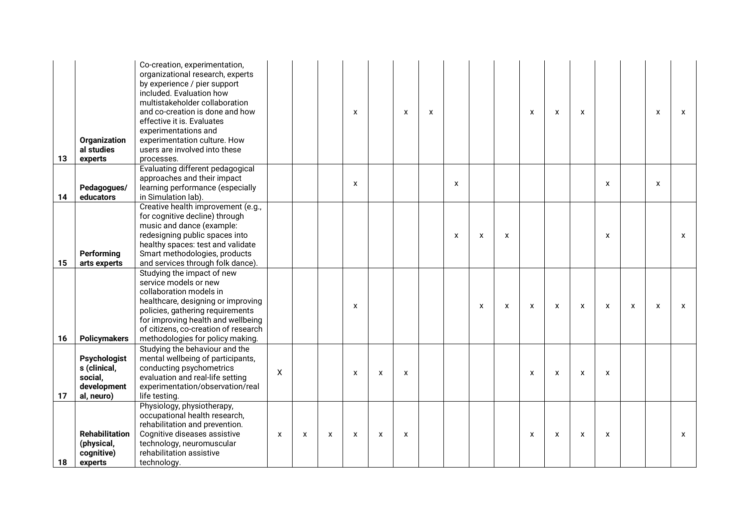| 13 | Organization<br>al studies<br>experts                                       | Co-creation, experimentation,<br>organizational research, experts<br>by experience / pier support<br>included. Evaluation how<br>multistakeholder collaboration<br>and co-creation is done and how<br>effective it is. Evaluates<br>experimentations and<br>experimentation culture. How<br>users are involved into these<br>processes. |   |              |              | X            |   | $\boldsymbol{\mathsf{x}}$ | X |                           |   |                           | $\mathsf{x}$              | $\mathsf{x}$              | X                         |              |              | X                         | X            |
|----|-----------------------------------------------------------------------------|-----------------------------------------------------------------------------------------------------------------------------------------------------------------------------------------------------------------------------------------------------------------------------------------------------------------------------------------|---|--------------|--------------|--------------|---|---------------------------|---|---------------------------|---|---------------------------|---------------------------|---------------------------|---------------------------|--------------|--------------|---------------------------|--------------|
| 14 | Pedagogues/<br>educators                                                    | Evaluating different pedagogical<br>approaches and their impact<br>learning performance (especially<br>in Simulation lab).                                                                                                                                                                                                              |   |              |              | X            |   |                           |   | X                         |   |                           |                           |                           |                           | X            |              | X                         |              |
| 15 | Performing<br>arts experts                                                  | Creative health improvement (e.g.,<br>for cognitive decline) through<br>music and dance (example:<br>redesigning public spaces into<br>healthy spaces: test and validate<br>Smart methodologies, products<br>and services through folk dance).                                                                                          |   |              |              |              |   |                           |   | $\boldsymbol{\mathsf{x}}$ | X | $\boldsymbol{\mathsf{x}}$ |                           |                           |                           | $\pmb{\chi}$ |              |                           | $\mathsf{x}$ |
| 16 | <b>Policymakers</b>                                                         | Studying the impact of new<br>service models or new<br>collaboration models in<br>healthcare, designing or improving<br>policies, gathering requirements<br>for improving health and wellbeing<br>of citizens, co-creation of research<br>methodologies for policy making.                                                              |   |              |              | $\mathsf{x}$ |   |                           |   |                           | X | X                         | $\boldsymbol{\mathsf{x}}$ | $\boldsymbol{\mathsf{x}}$ | $\pmb{\times}$            | $\pmb{\chi}$ | $\pmb{\chi}$ | $\boldsymbol{\mathsf{x}}$ | $\mathsf{x}$ |
| 17 | <b>Psychologist</b><br>s (clinical,<br>social,<br>development<br>al, neuro) | Studying the behaviour and the<br>mental wellbeing of participants,<br>conducting psychometrics<br>evaluation and real-life setting<br>experimentation/observation/real<br>life testing.                                                                                                                                                | X |              |              | X            | X | X                         |   |                           |   |                           | $\mathsf{x}$              | $\boldsymbol{\mathsf{x}}$ | $\boldsymbol{\mathsf{x}}$ | X            |              |                           |              |
| 18 | <b>Rehabilitation</b><br>(physical,<br>cognitive)<br>experts                | Physiology, physiotherapy,<br>occupational health research,<br>rehabilitation and prevention.<br>Cognitive diseases assistive<br>technology, neuromuscular<br>rehabilitation assistive<br>technology.                                                                                                                                   | X | $\mathsf{x}$ | $\mathsf{x}$ | $\mathbf{x}$ | X | X                         |   |                           |   |                           | $\mathsf{x}$              | $\mathsf{x}$              | X                         | X            |              |                           | $\mathsf{x}$ |